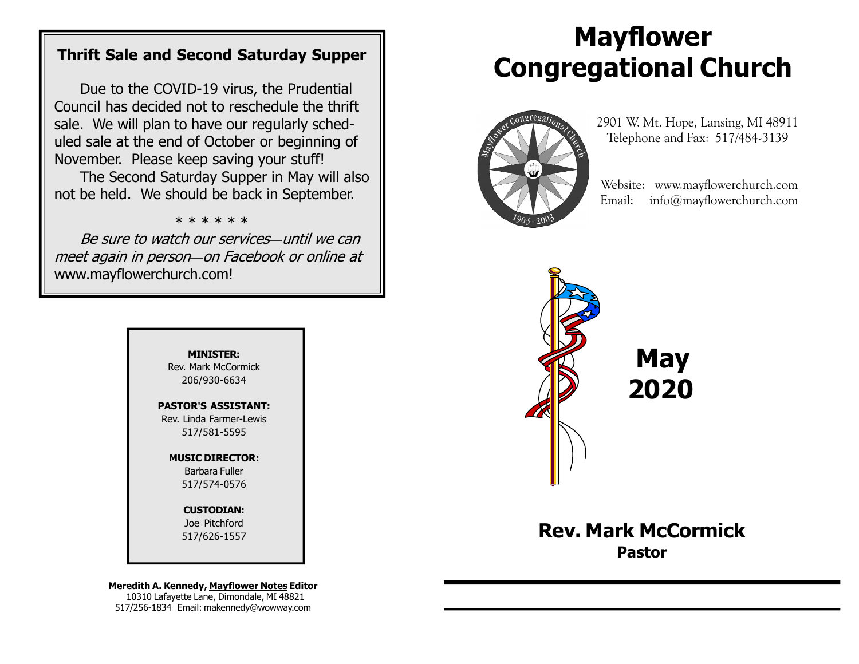### Thrift Sale and Second Saturday Supper

Due to the COVID-19 virus, the Prudential Council has decided not to reschedule the thrift sale. We will plan to have our regularly scheduled sale at the end of October or beginning of November. Please keep saving your stuff!

The Second Saturday Supper in May will also not be held. We should be back in September.

\* \* \* \* \* \*

Be sure to watch our services—until we can meet again in person—on Facebook or online at www.mayflowerchurch.com!

> MINISTER: Rev. Mark McCormick 206/930-6634

PASTOR'S ASSISTANT: Rev. Linda Farmer-Lewis 517/581-5595

> MUSIC DIRECTOR: Barbara Fuller 517/574-0576

> > CUSTODIAN: Joe Pitchford 517/626-1557

Meredith A. Kennedy, Mayflower Notes Editor 10310 Lafayette Lane, Dimondale, MI 48821 517/256-1834 Email: makennedy@wowway.com

# Mayflower Congregational Church



 2901 W. Mt. Hope, Lansing, MI 48911 Telephone and Fax: 517/484-3139

 Website: www.mayflowerchurch.com Email: info@mayflowerchurch.com



 May 2020

Rev. Mark McCormick Pastor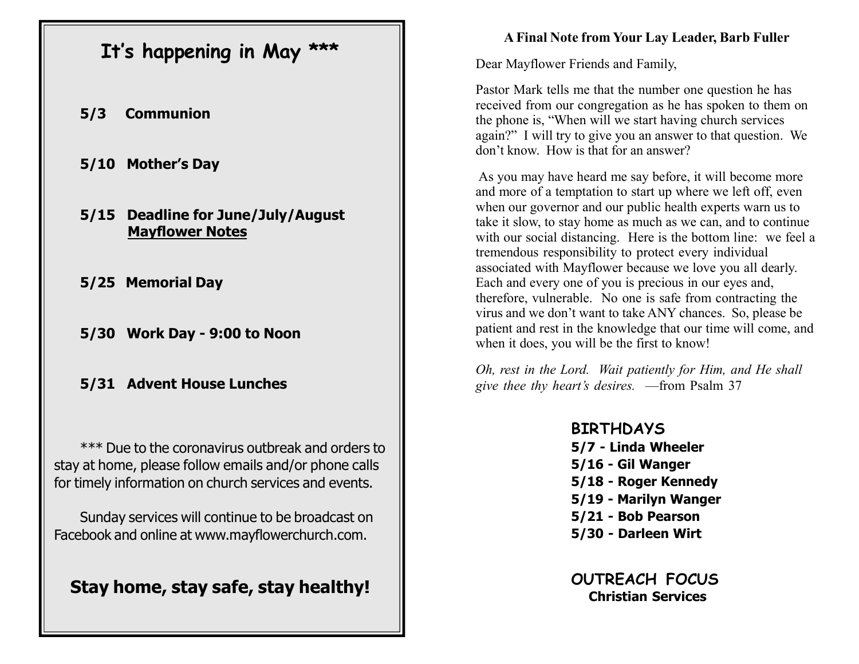# It's happening in May \*\*\*

- 5/3 Communion
- 5/10 Mother's Day
- 5/15 Deadline for June/July/August Mayflower Notes
- 5/25 Memorial Day
- 5/30 Work Day 9:00 to Noon
- 5/31 Advent House Lunches

\*\*\* Due to the coronavirus outbreak and orders to stay at home, please follow emails and/or phone calls for timely information on church services and events.

Sunday services will continue to be broadcast on Facebook and online at www.mayflowerchurch.com.

Stay home, stay safe, stay healthy!

#### A Final Note from Your Lay Leader, Barb Fuller

Dear Mayflower Friends and Family,

Pastor Mark tells me that the number one question he has received from our congregation as he has spoken to them on the phone is, "When will we start having church services again?" I will try to give you an answer to that question. We don't know. How is that for an answer?

 As you may have heard me say before, it will become more and more of a temptation to start up where we left off, even when our governor and our public health experts warn us to take it slow, to stay home as much as we can, and to continue with our social distancing. Here is the bottom line: we feel a tremendous responsibility to protect every individual associated with Mayflower because we love you all dearly. Each and every one of you is precious in our eyes and, therefore, vulnerable. No one is safe from contracting the virus and we don't want to take ANY chances. So, please be patient and rest in the knowledge that our time will come, and when it does, you will be the first to know!

Oh, rest in the Lord. Wait patiently for Him, and He shall give thee thy heart's desires. —from Psalm 37

> BIRTHDAYS 5/7 - Linda Wheeler 5/16 - Gil Wanger 5/18 - Roger Kennedy 5/19 - Marilyn Wanger 5/21 - Bob Pearson 5/30 - Darleen Wirt

> > OUTREACH FOCUS Christian Services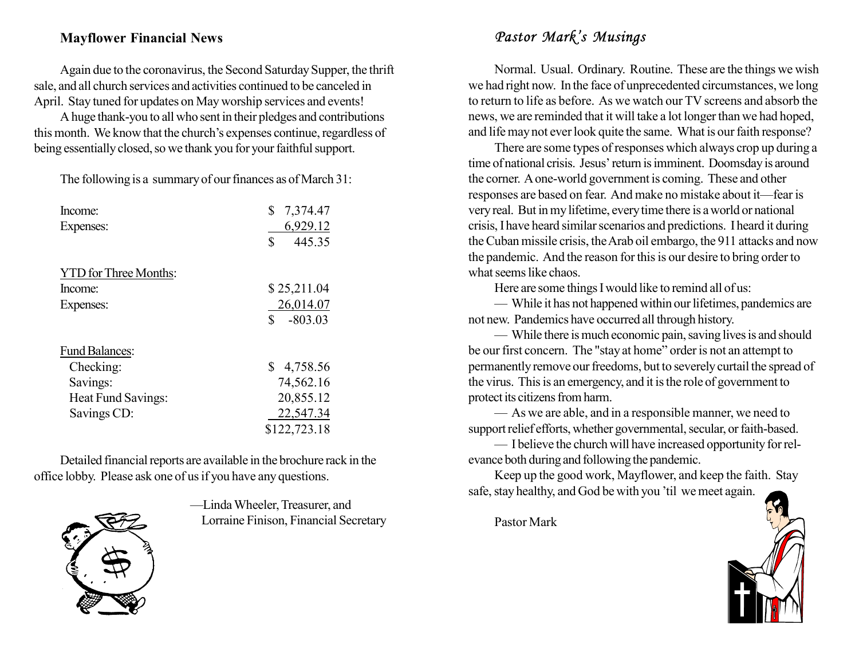#### Mayflower Financial News

Again due to the coronavirus, the Second Saturday Supper, the thrift sale, and all church services and activities continued to be canceled in April. Stay tuned for updates on May worship services and events!

A huge thank-you to all who sent in their pledges and contributions this month. We know that the church's expenses continue, regardless of being essentially closed, so we thank you for your faithful support.

The following is a summary of our finances as of March 31:

| Income:                      | \$<br>7,374.47  |
|------------------------------|-----------------|
| Expenses:                    | 6,929.12        |
|                              | \$<br>445.35    |
| <b>YTD</b> for Three Months: |                 |
| Income:                      | \$25,211.04     |
| Expenses:                    | 26,014.07       |
|                              | \$<br>$-803.03$ |
| <b>Fund Balances:</b>        |                 |
| Checking:                    | \$4,758.56      |
| Savings:                     | 74,562.16       |
| Heat Fund Savings:           | 20,855.12       |
| Savings CD:                  | 22,547.34       |
|                              | \$122,723.18    |

Detailed financial reports are available in the brochure rack in the office lobby. Please ask one of us if you have any questions.



—Linda Wheeler, Treasurer, and Lorraine Finison, Financial Secretary

#### Pastor Mark's Musings

Normal. Usual. Ordinary. Routine. These are the things we wish we had right now. In the face of unprecedented circumstances, we long to return to life as before. As we watch our TV screens and absorb the news, we are reminded that it will take a lot longer than we had hoped, and life may not ever look quite the same. What is our faith response?

There are some types of responses which always crop up during a time of national crisis. Jesus' return is imminent. Doomsday is around the corner. A one-world government is coming. These and other responses are based on fear. And make no mistake about it—fear is very real. But in my lifetime, every time there is a world or national crisis, I have heard similar scenarios and predictions. I heard it during the Cuban missile crisis, the Arab oil embargo, the 911 attacks and now the pandemic. And the reason for this is our desire to bring order to what seems like chaos.

Here are some things I would like to remind all of us:

— While it has not happened within our lifetimes, pandemics are not new. Pandemics have occurred all through history.

— While there is much economic pain, saving lives is and should be our first concern. The "stay at home" order is not an attempt to permanently remove our freedoms, but to severely curtail the spread of the virus. This is an emergency, and it is the role of government to protect its citizens from harm.

— As we are able, and in a responsible manner, we need to support relief efforts, whether governmental, secular, or faith-based.

— I believe the church will have increased opportunity for relevance both during and following the pandemic.

Keep up the good work, Mayflower, and keep the faith. Stay safe, stay healthy, and God be with you 'til we meet again.

Pastor Mark